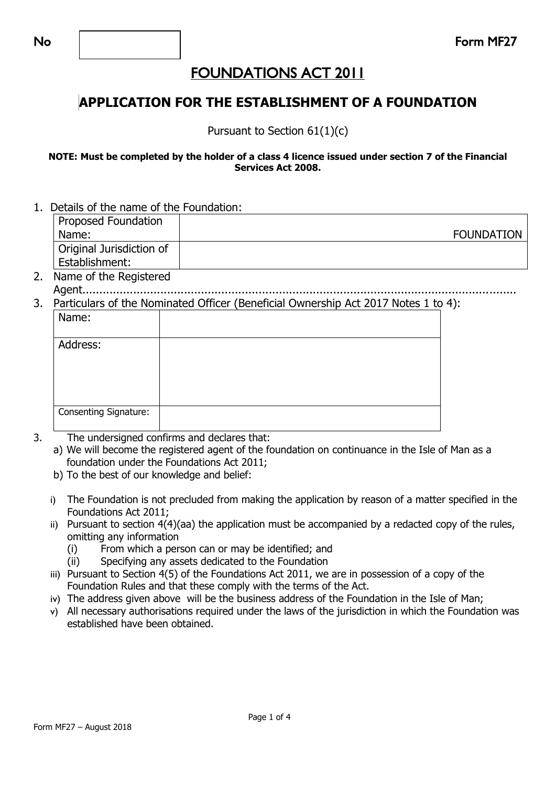### **APPLICATION FOR THE ESTABLISHMENT OF A FOUNDATION**

Pursuant to Section 61(1)(c)

#### **NOTE: Must be completed by the holder of a class 4 licence issued under section 7 of the Financial Services Act 2008.**

1. Details of the name of the Foundation:

| Proposed Foundation      |                   |
|--------------------------|-------------------|
| Name:                    | <b>FOUNDATION</b> |
| Original Jurisdiction of |                   |
| Establishment:           |                   |

- 2. Name of the Registered
- Agent................................................................................................................................ 3. Particulars of the Nominated Officer (Beneficial Ownership Act 2017 Notes 1 to 4):

| Name:                        |  |  |  |
|------------------------------|--|--|--|
| Address:                     |  |  |  |
|                              |  |  |  |
| <b>Consenting Signature:</b> |  |  |  |

- 3. The undersigned confirms and declares that:
	- a) We will become the registered agent of the foundation on continuance in the Isle of Man as a foundation under the Foundations Act 2011;
	- b) To the best of our knowledge and belief:
	- i) The Foundation is not precluded from making the application by reason of a matter specified in the Foundations Act 2011;
	- ii) Pursuant to section 4(4)(aa) the application must be accompanied by a redacted copy of the rules, omitting any information
		- (i) From which a person can or may be identified; and
		- (ii) Specifying any assets dedicated to the Foundation
	- iii) Pursuant to Section 4(5) of the Foundations Act 2011, we are in possession of a copy of the Foundation Rules and that these comply with the terms of the Act.
	- iv) The address given above will be the business address of the Foundation in the Isle of Man;
	- v) All necessary authorisations required under the laws of the jurisdiction in which the Foundation was established have been obtained.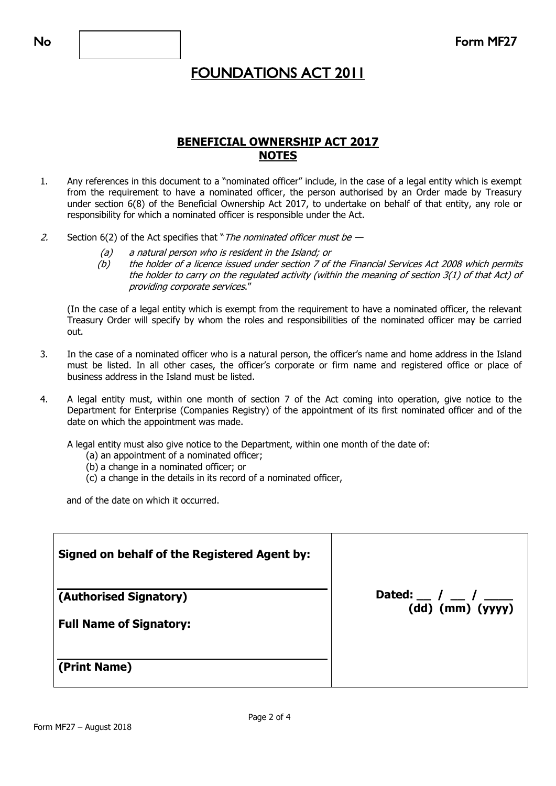### **BENEFICIAL OWNERSHIP ACT 2017 NOTES**

- 1. Any references in this document to a "nominated officer" include, in the case of a legal entity which is exempt from the requirement to have a nominated officer, the person authorised by an Order made by Treasury under section 6(8) of the Beneficial Ownership Act 2017, to undertake on behalf of that entity, any role or responsibility for which a nominated officer is responsible under the Act.
- 2. Section  $6(2)$  of the Act specifies that "*The nominated officer must be -*
	- (a) a natural person who is resident in the Island; or
	- (b) the holder of a licence issued under section 7 of the Financial Services Act 2008 which permits the holder to carry on the regulated activity (within the meaning of section 3(1) of that Act) of providing corporate services."

(In the case of a legal entity which is exempt from the requirement to have a nominated officer, the relevant Treasury Order will specify by whom the roles and responsibilities of the nominated officer may be carried out.

- 3. In the case of a nominated officer who is a natural person, the officer's name and home address in the Island must be listed. In all other cases, the officer's corporate or firm name and registered office or place of business address in the Island must be listed.
- 4. A legal entity must, within one month of section 7 of the Act coming into operation, give notice to the Department for Enterprise (Companies Registry) of the appointment of its first nominated officer and of the date on which the appointment was made.

A legal entity must also give notice to the Department, within one month of the date of:

- (a) an appointment of a nominated officer;
- (b) a change in a nominated officer; or
- (c) a change in the details in its record of a nominated officer,

and of the date on which it occurred.

| <b>Signed on behalf of the Registered Agent by:</b>      |                                                                                             |
|----------------------------------------------------------|---------------------------------------------------------------------------------------------|
| (Authorised Signatory)<br><b>Full Name of Signatory:</b> | Dated: $\frac{\ }{\ }$ / $\frac{\ }{\ }$ / $\frac{\ }{\ }$<br>$\overline{(dd)}$ (mm) (yyyy) |
| (Print Name)                                             |                                                                                             |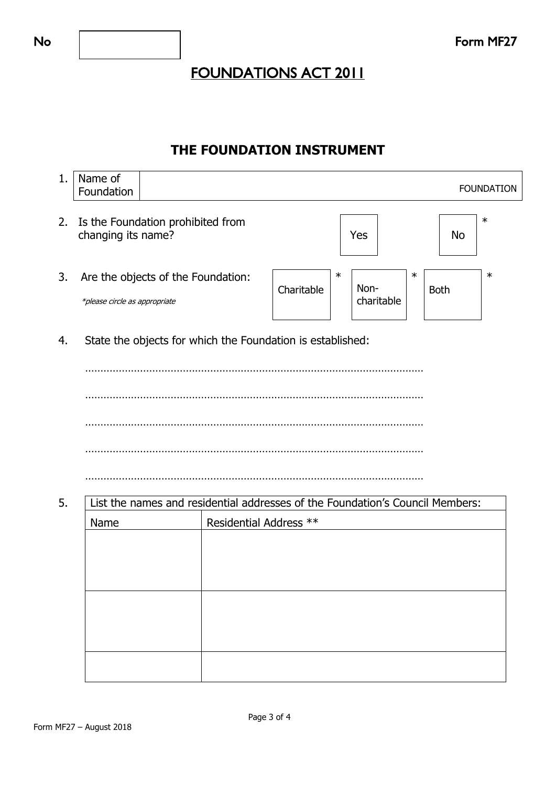### **THE FOUNDATION INSTRUMENT**